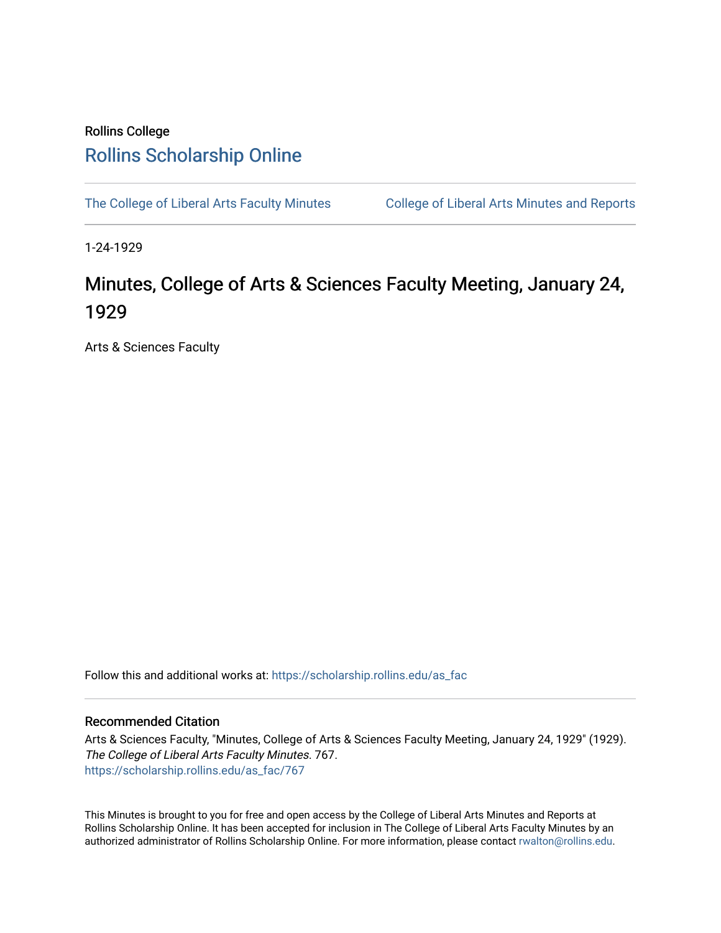## Rollins College [Rollins Scholarship Online](https://scholarship.rollins.edu/)

[The College of Liberal Arts Faculty Minutes](https://scholarship.rollins.edu/as_fac) College of Liberal Arts Minutes and Reports

1-24-1929

## Minutes, College of Arts & Sciences Faculty Meeting, January 24, 1929

Arts & Sciences Faculty

Follow this and additional works at: [https://scholarship.rollins.edu/as\\_fac](https://scholarship.rollins.edu/as_fac?utm_source=scholarship.rollins.edu%2Fas_fac%2F767&utm_medium=PDF&utm_campaign=PDFCoverPages) 

## Recommended Citation

Arts & Sciences Faculty, "Minutes, College of Arts & Sciences Faculty Meeting, January 24, 1929" (1929). The College of Liberal Arts Faculty Minutes. 767. [https://scholarship.rollins.edu/as\\_fac/767](https://scholarship.rollins.edu/as_fac/767?utm_source=scholarship.rollins.edu%2Fas_fac%2F767&utm_medium=PDF&utm_campaign=PDFCoverPages) 

This Minutes is brought to you for free and open access by the College of Liberal Arts Minutes and Reports at Rollins Scholarship Online. It has been accepted for inclusion in The College of Liberal Arts Faculty Minutes by an authorized administrator of Rollins Scholarship Online. For more information, please contact [rwalton@rollins.edu](mailto:rwalton@rollins.edu).